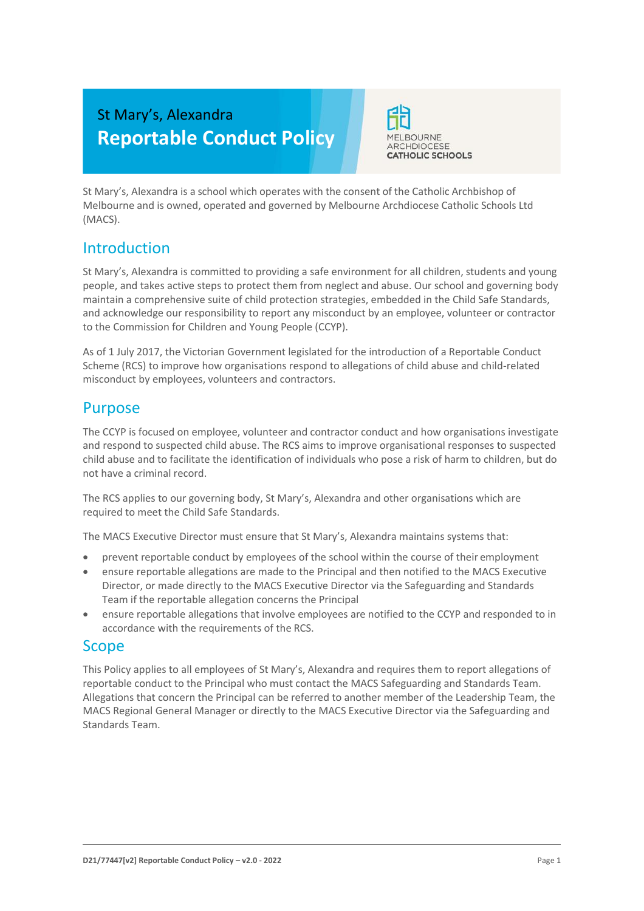# St Mary's, Alexandra **Reportable Conduct Policy**



St Mary's, Alexandra is a school which operates with the consent of the Catholic Archbishop of Melbourne and is owned, operated and governed by Melbourne Archdiocese Catholic Schools Ltd (MACS).

# Introduction

St Mary's, Alexandra is committed to providing a safe environment for all children, students and young people, and takes active steps to protect them from neglect and abuse. Our school and governing body maintain a comprehensive suite of child protection strategies, embedded in the Child Safe Standards, and acknowledge our responsibility to report any misconduct by an employee, volunteer or contractor to the Commission for Children and Young People (CCYP).

As of 1 July 2017, the Victorian Government legislated for the introduction of a Reportable Conduct Scheme (RCS) to improve how organisations respond to allegations of child abuse and child-related misconduct by employees, volunteers and contractors.

# Purpose

The CCYP is focused on employee, volunteer and contractor conduct and how organisations investigate and respond to suspected child abuse. The RCS aims to improve organisational responses to suspected child abuse and to facilitate the identification of individuals who pose a risk of harm to children, but do not have a criminal record.

The RCS applies to our governing body, St Mary's, Alexandra and other organisations which are required to meet the Child Safe Standards.

The MACS Executive Director must ensure that St Mary's, Alexandra maintains systems that:

- prevent reportable conduct by employees of the school within the course of their employment
- ensure reportable allegations are made to the Principal and then notified to the MACS Executive Director, or made directly to the MACS Executive Director via the Safeguarding and Standards Team if the reportable allegation concerns the Principal
- ensure reportable allegations that involve employees are notified to the CCYP and responded to in accordance with the requirements of the RCS.

## **Scope**

This Policy applies to all employees of St Mary's, Alexandra and requires them to report allegations of reportable conduct to the Principal who must contact the MACS Safeguarding and Standards Team. Allegations that concern the Principal can be referred to another member of the Leadership Team, the MACS Regional General Manager or directly to the MACS Executive Director via the Safeguarding and Standards Team.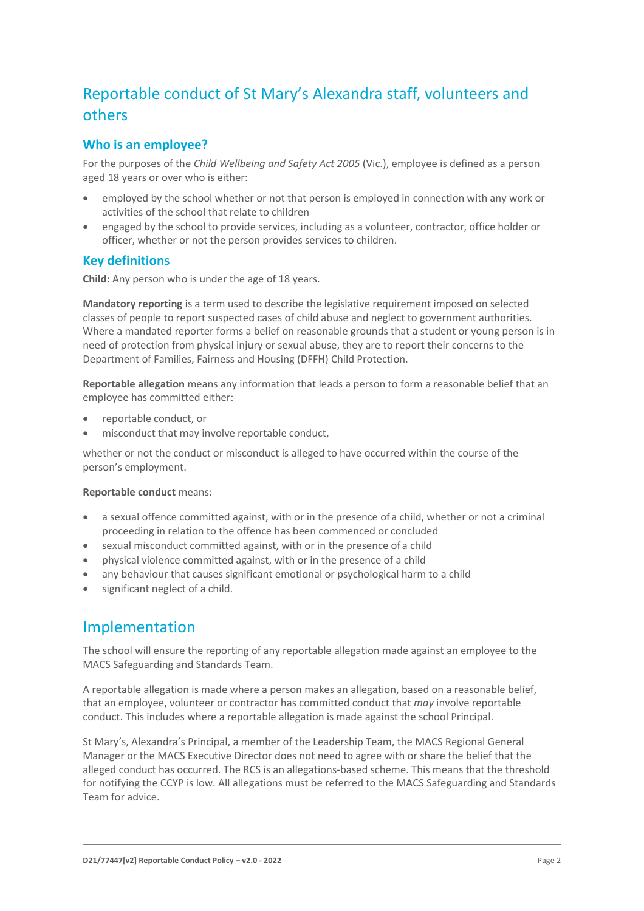# Reportable conduct of St Mary's Alexandra staff, volunteers and others

### **Who is an employee?**

For the purposes of the *Child Wellbeing and Safety Act 2005* (Vic.), employee is defined as a person aged 18 years or over who is either:

- employed by the school whether or not that person is employed in connection with any work or activities of the school that relate to children
- engaged by the school to provide services, including as a volunteer, contractor, office holder or officer, whether or not the person provides services to children.

#### **Key definitions**

**Child:** Any person who is under the age of 18 years.

**Mandatory reporting** is a term used to describe the legislative requirement imposed on selected classes of people to report suspected cases of child abuse and neglect to government authorities. Where a mandated reporter forms a belief on reasonable grounds that a student or young person is in need of protection from physical injury or sexual abuse, they are to report their concerns to the Department of Families, Fairness and Housing (DFFH) Child Protection.

**Reportable allegation** means any information that leads a person to form a reasonable belief that an employee has committed either:

- reportable conduct, or
- misconduct that may involve reportable conduct,

whether or not the conduct or misconduct is alleged to have occurred within the course of the person's employment.

#### **Reportable conduct** means:

- a sexual offence committed against, with or in the presence of a child, whether or not a criminal proceeding in relation to the offence has been commenced or concluded
- sexual misconduct committed against, with or in the presence of a child
- physical violence committed against, with or in the presence of a child
- any behaviour that causes significant emotional or psychological harm to a child
- significant neglect of a child.

## Implementation

The school will ensure the reporting of any reportable allegation made against an employee to the MACS Safeguarding and Standards Team.

A reportable allegation is made where a person makes an allegation, based on a reasonable belief, that an employee, volunteer or contractor has committed conduct that *may* involve reportable conduct. This includes where a reportable allegation is made against the school Principal.

St Mary's, Alexandra's Principal, a member of the Leadership Team, the MACS Regional General Manager or the MACS Executive Director does not need to agree with or share the belief that the alleged conduct has occurred. The RCS is an allegations-based scheme. This means that the threshold for notifying the CCYP is low. All allegations must be referred to the MACS Safeguarding and Standards Team for advice.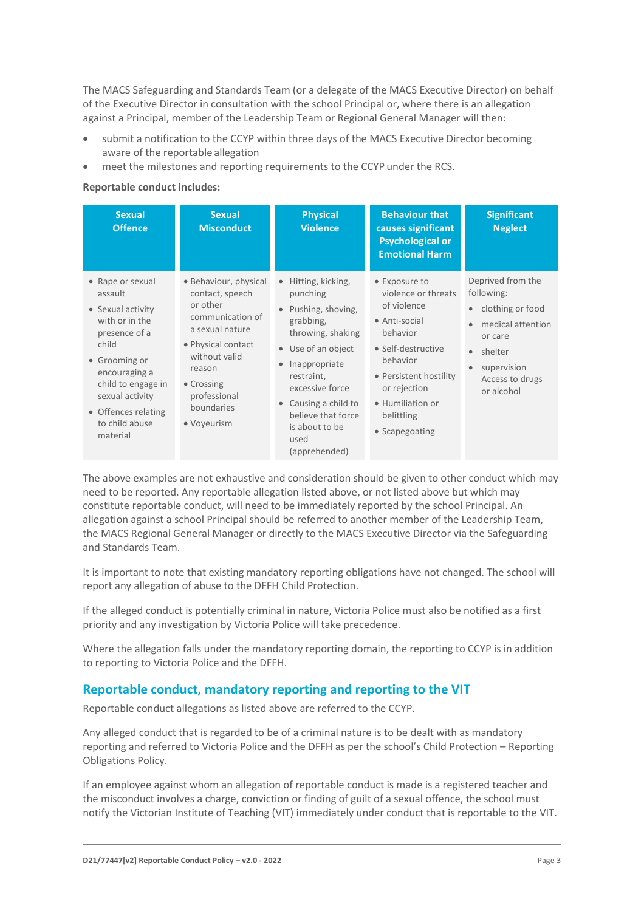The MACS Safeguarding and Standards Team (or a delegate of the MACS Executive Director) on behalf of the Executive Director in consultation with the school Principal or, where there is an allegation against a Principal, member of the Leadership Team or Regional General Manager will then:

- submit a notification to the CCYP within three days of the MACS Executive Director becoming aware of the reportable allegation
- meet the milestones and reporting requirements to the CCYP under the RCS.

#### **Reportable conduct includes:**

| <b>Sexual</b><br><b>Offence</b>                                                                                                                                                                                              | <b>Sexual</b><br><b>Misconduct</b>                                                                                                                                                                      | <b>Physical</b><br><b>Violence</b>                                                                                                                                                                                                                  | <b>Behaviour that</b><br>causes significant<br><b>Psychological or</b><br><b>Emotional Harm</b>                                                                                                                  | <b>Significant</b><br><b>Neglect</b>                                                                                                                                     |
|------------------------------------------------------------------------------------------------------------------------------------------------------------------------------------------------------------------------------|---------------------------------------------------------------------------------------------------------------------------------------------------------------------------------------------------------|-----------------------------------------------------------------------------------------------------------------------------------------------------------------------------------------------------------------------------------------------------|------------------------------------------------------------------------------------------------------------------------------------------------------------------------------------------------------------------|--------------------------------------------------------------------------------------------------------------------------------------------------------------------------|
| • Rape or sexual<br>assault<br>• Sexual activity<br>with or in the<br>presence of a<br>child<br>• Grooming or<br>encouraging a<br>child to engage in<br>sexual activity<br>• Offences relating<br>to child abuse<br>material | • Behaviour, physical<br>contact, speech<br>or other<br>communication of<br>a sexual nature<br>• Physical contact<br>without valid<br>reason<br>• Crossing<br>professional<br>boundaries<br>• Voyeurism | Hitting, kicking,<br>punching<br>Pushing, shoving,<br>grabbing,<br>throwing, shaking<br>• Use of an object<br>Inappropriate<br>restraint,<br>excessive force<br>Causing a child to<br>believe that force<br>is about to be<br>used<br>(apprehended) | • Exposure to<br>violence or threats<br>of violence<br>• Anti-social<br>behavior<br>• Self-destructive<br>behavior<br>• Persistent hostility<br>or rejection<br>• Humiliation or<br>belittling<br>• Scapegoating | Deprived from the<br>following:<br>clothing or food<br>$\bullet$<br>medical attention<br>or care<br>shelter<br>$\bullet$<br>supervision<br>Access to drugs<br>or alcohol |

The above examples are not exhaustive and consideration should be given to other conduct which may need to be reported. Any reportable allegation listed above, or not listed above but which may constitute reportable conduct, will need to be immediately reported by the school Principal. An allegation against a school Principal should be referred to another member of the Leadership Team, the MACS Regional General Manager or directly to the MACS Executive Director via the Safeguarding and Standards Team.

It is important to note that existing mandatory reporting obligations have not changed. The school will report any allegation of abuse to the DFFH Child Protection.

If the alleged conduct is potentially criminal in nature, Victoria Police must also be notified as a first priority and any investigation by Victoria Police will take precedence.

Where the allegation falls under the mandatory reporting domain, the reporting to CCYP is in addition to reporting to Victoria Police and the DFFH.

### **Reportable conduct, mandatory reporting and reporting to the VIT**

Reportable conduct allegations as listed above are referred to the CCYP.

Any alleged conduct that is regarded to be of a criminal nature is to be dealt with as mandatory reporting and referred to Victoria Police and the DFFH as per the school's Child Protection – Reporting Obligations Policy.

If an employee against whom an allegation of reportable conduct is made is a registered teacher and the misconduct involves a charge, conviction or finding of guilt of a sexual offence, the school must notify the Victorian Institute of Teaching (VIT) immediately under conduct that is reportable to the VIT.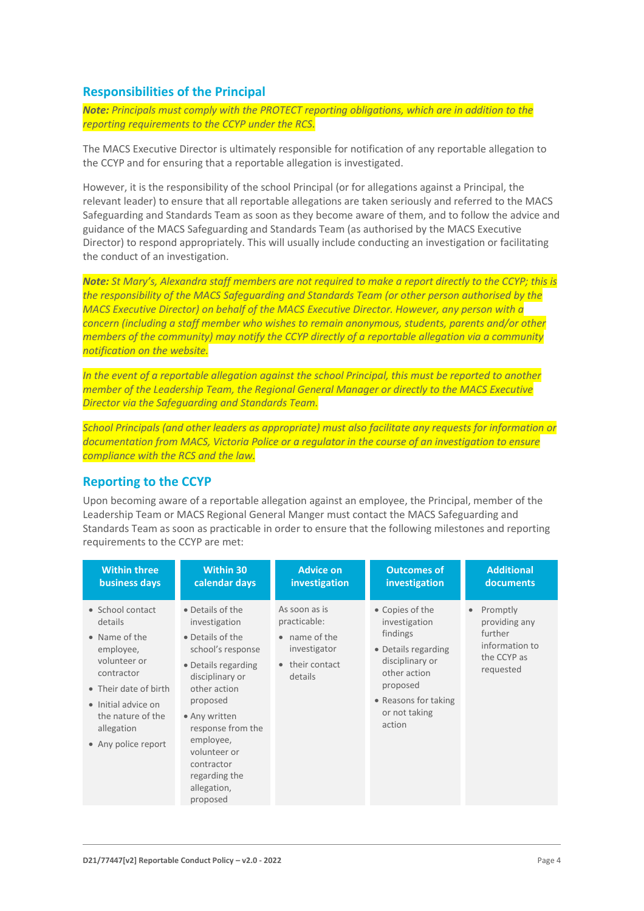#### **Responsibilities of the Principal**

*Note: Principals must comply with the PROTECT reporting obligations, which are in addition to the reporting requirements to the CCYP under the RCS.*

The MACS Executive Director is ultimately responsible for notification of any reportable allegation to the CCYP and for ensuring that a reportable allegation is investigated.

However, it is the responsibility of the school Principal (or for allegations against a Principal, the relevant leader) to ensure that all reportable allegations are taken seriously and referred to the MACS Safeguarding and Standards Team as soon as they become aware of them, and to follow the advice and guidance of the MACS Safeguarding and Standards Team (as authorised by the MACS Executive Director) to respond appropriately. This will usually include conducting an investigation or facilitating the conduct of an investigation.

*Note: St Mary's, Alexandra staff members are not required to make a report directly to the CCYP; this is the responsibility of the MACS Safeguarding and Standards Team (or other person authorised by the MACS Executive Director) on behalf of the MACS Executive Director. However, any person with a concern (including a staff member who wishes to remain anonymous, students, parents and/or other members of the community) may notify the CCYP directly of a reportable allegation via a community notification on the website.*

*In the event of a reportable allegation against the school Principal, this must be reported to another member of the Leadership Team, the Regional General Manager or directly to the MACS Executive Director via the Safeguarding and Standards Team.*

*School Principals (and other leaders as appropriate) must also facilitate any requests for information or documentation from MACS, Victoria Police or a regulator in the course of an investigation to ensure compliance with the RCS and the law.*

#### **Reporting to the CCYP**

Upon becoming aware of a reportable allegation against an employee, the Principal, member of the Leadership Team or MACS Regional General Manger must contact the MACS Safeguarding and Standards Team as soon as practicable in order to ensure that the following milestones and reporting requirements to the CCYP are met:

| <b>Within three</b>                                                                                                                                                                               | <b>Within 30</b>                                                                                                                                                                                                                                                              | <b>Advice on</b>                                                                                   | <b>Outcomes of</b>                                                                                                                                                    | <b>Additional</b>                                                                               |
|---------------------------------------------------------------------------------------------------------------------------------------------------------------------------------------------------|-------------------------------------------------------------------------------------------------------------------------------------------------------------------------------------------------------------------------------------------------------------------------------|----------------------------------------------------------------------------------------------------|-----------------------------------------------------------------------------------------------------------------------------------------------------------------------|-------------------------------------------------------------------------------------------------|
| business days                                                                                                                                                                                     | calendar days                                                                                                                                                                                                                                                                 | investigation                                                                                      | <i>investigation</i>                                                                                                                                                  | documents                                                                                       |
| • School contact<br>details<br>• Name of the<br>employee,<br>volunteer or<br>contractor<br>• Their date of birth<br>• Initial advice on<br>the nature of the<br>allegation<br>• Any police report | • Details of the<br>investigation<br>• Details of the<br>school's response<br>• Details regarding<br>disciplinary or<br>other action<br>proposed<br>• Any written<br>response from the<br>employee,<br>volunteer or<br>contractor<br>regarding the<br>allegation,<br>proposed | As soon as is<br>practicable:<br>$\bullet$ name of the<br>investigator<br>their contact<br>details | • Copies of the<br>investigation<br>findings<br>• Details regarding<br>disciplinary or<br>other action<br>proposed<br>• Reasons for taking<br>or not taking<br>action | Promptly<br>$\bullet$<br>providing any<br>further<br>information to<br>the CCYP as<br>requested |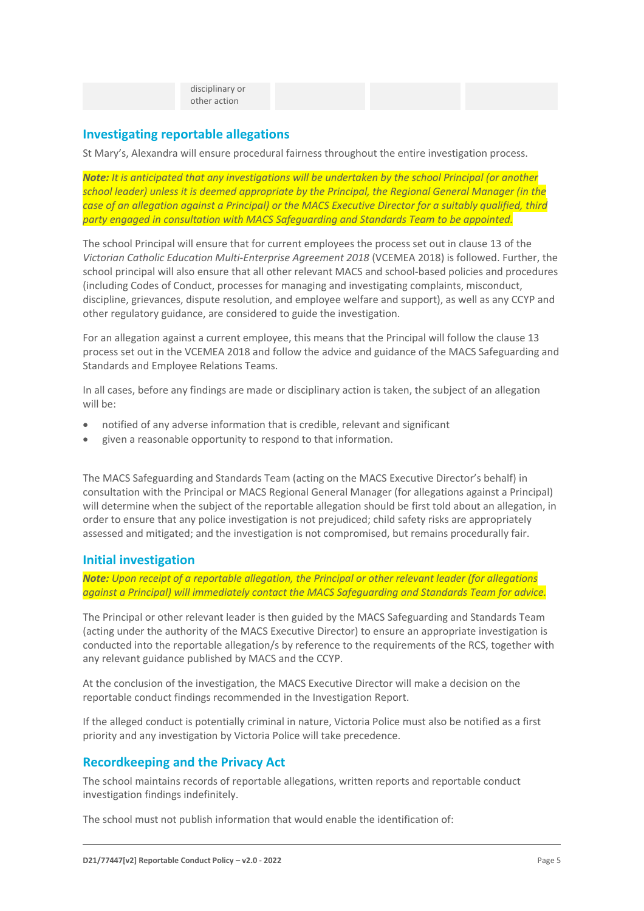disciplinary or other action

#### **Investigating reportable allegations**

St Mary's, Alexandra will ensure procedural fairness throughout the entire investigation process.

*Note: It is anticipated that any investigations will be undertaken by the school Principal (or another school leader) unless it is deemed appropriate by the Principal, the Regional General Manager (in the case of an allegation against a Principal) or the MACS Executive Director for a suitably qualified, third party engaged in consultation with MACS Safeguarding and Standards Team to be appointed.*

The school Principal will ensure that for current employees the process set out in clause 13 of the *Victorian Catholic Education Multi-Enterprise Agreement 2018* (VCEMEA 2018) is followed. Further, the school principal will also ensure that all other relevant MACS and school-based policies and procedures (including Codes of Conduct, processes for managing and investigating complaints, misconduct, discipline, grievances, dispute resolution, and employee welfare and support), as well as any CCYP and other regulatory guidance, are considered to guide the investigation.

For an allegation against a current employee, this means that the Principal will follow the clause 13 process set out in the VCEMEA 2018 and follow the advice and guidance of the MACS Safeguarding and Standards and Employee Relations Teams.

In all cases, before any findings are made or disciplinary action is taken, the subject of an allegation will be:

- notified of any adverse information that is credible, relevant and significant
- given a reasonable opportunity to respond to that information.

The MACS Safeguarding and Standards Team (acting on the MACS Executive Director's behalf) in consultation with the Principal or MACS Regional General Manager (for allegations against a Principal) will determine when the subject of the reportable allegation should be first told about an allegation, in order to ensure that any police investigation is not prejudiced; child safety risks are appropriately assessed and mitigated; and the investigation is not compromised, but remains procedurally fair.

#### **Initial investigation**

*Note: Upon receipt of a reportable allegation, the Principal or other relevant leader (for allegations against a Principal) will immediately contact the MACS Safeguarding and Standards Team for advice.*

The Principal or other relevant leader is then guided by the MACS Safeguarding and Standards Team (acting under the authority of the MACS Executive Director) to ensure an appropriate investigation is conducted into the reportable allegation/s by reference to the requirements of the RCS, together with any relevant guidance published by MACS and the CCYP.

At the conclusion of the investigation, the MACS Executive Director will make a decision on the reportable conduct findings recommended in the Investigation Report.

If the alleged conduct is potentially criminal in nature, Victoria Police must also be notified as a first priority and any investigation by Victoria Police will take precedence.

#### **Recordkeeping and the Privacy Act**

The school maintains records of reportable allegations, written reports and reportable conduct investigation findings indefinitely.

The school must not publish information that would enable the identification of: